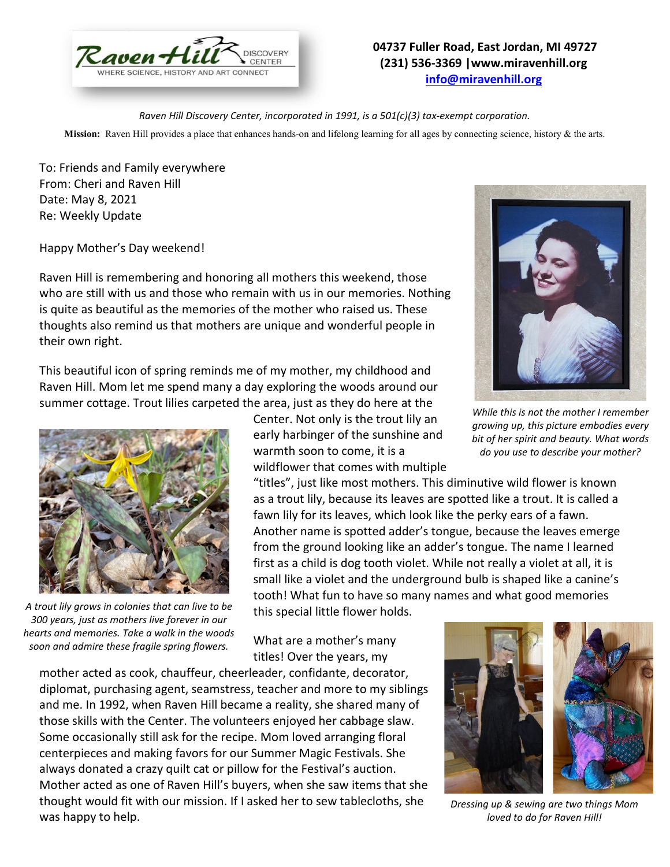

## **04737 Fuller Road, East Jordan, MI 49727 (231) 536-3369 |www.miravenhill.org [info@miravenhill.org](mailto:info@miravenhill.org)**

*Raven Hill Discovery Center, incorporated in 1991, is a 501(c)(3) tax-exempt corporation.*

**Mission:** Raven Hill provides a place that enhances hands-on and lifelong learning for all ages by connecting science, history & the arts.

To: Friends and Family everywhere From: Cheri and Raven Hill Date: May 8, 2021 Re: Weekly Update

Happy Mother's Day weekend!

Raven Hill is remembering and honoring all mothers this weekend, those who are still with us and those who remain with us in our memories. Nothing is quite as beautiful as the memories of the mother who raised us. These thoughts also remind us that mothers are unique and wonderful people in their own right.

This beautiful icon of spring reminds me of my mother, my childhood and Raven Hill. Mom let me spend many a day exploring the woods around our summer cottage. Trout lilies carpeted the area, just as they do here at the



*A trout lily grows in colonies that can live to be 300 years, just as mothers live forever in our hearts and memories. Take a walk in the woods soon and admire these fragile spring flowers.* 

Center. Not only is the trout lily an early harbinger of the sunshine and warmth soon to come, it is a wildflower that comes with multiple

"titles", just like most mothers. This diminutive wild flower is known as a trout lily, because its leaves are spotted like a trout. It is called a fawn lily for its leaves, which look like the perky ears of a fawn. Another name is spotted adder's tongue, because the leaves emerge from the ground looking like an adder's tongue. The name I learned first as a child is dog tooth violet. While not really a violet at all, it is small like a violet and the underground bulb is shaped like a canine's tooth! What fun to have so many names and what good memories this special little flower holds.

What are a mother's many titles! Over the years, my

mother acted as cook, chauffeur, cheerleader, confidante, decorator, diplomat, purchasing agent, seamstress, teacher and more to my siblings and me. In 1992, when Raven Hill became a reality, she shared many of those skills with the Center. The volunteers enjoyed her cabbage slaw. Some occasionally still ask for the recipe. Mom loved arranging floral centerpieces and making favors for our Summer Magic Festivals. She always donated a crazy quilt cat or pillow for the Festival's auction. Mother acted as one of Raven Hill's buyers, when she saw items that she thought would fit with our mission. If I asked her to sew tablecloths, she was happy to help.



*While this is not the mother I remember growing up, this picture embodies every bit of her spirit and beauty. What words do you use to describe your mother?*



*Dressing up & sewing are two things Mom loved to do for Raven Hill!*